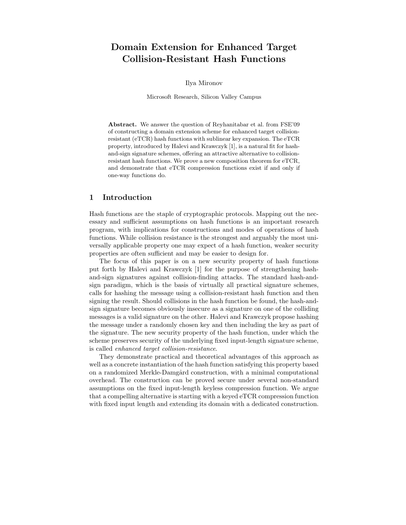# Domain Extension for Enhanced Target Collision-Resistant Hash Functions

Ilya Mironov

Microsoft Research, Silicon Valley Campus

Abstract. We answer the question of Reyhanitabar et al. from FSE'09 of constructing a domain extension scheme for enhanced target collisionresistant (eTCR) hash functions with sublinear key expansion. The eTCR property, introduced by Halevi and Krawczyk [1], is a natural fit for hashand-sign signature schemes, offering an attractive alternative to collisionresistant hash functions. We prove a new composition theorem for eTCR, and demonstrate that eTCR compression functions exist if and only if one-way functions do.

#### 1 Introduction

Hash functions are the staple of cryptographic protocols. Mapping out the necessary and sufficient assumptions on hash functions is an important research program, with implications for constructions and modes of operations of hash functions. While collision resistance is the strongest and arguably the most universally applicable property one may expect of a hash function, weaker security properties are often sufficient and may be easier to design for.

The focus of this paper is on a new security property of hash functions put forth by Halevi and Krawczyk [1] for the purpose of strengthening hashand-sign signatures against collision-finding attacks. The standard hash-andsign paradigm, which is the basis of virtually all practical signature schemes, calls for hashing the message using a collision-resistant hash function and then signing the result. Should collisions in the hash function be found, the hash-andsign signature becomes obviously insecure as a signature on one of the colliding messages is a valid signature on the other. Halevi and Krawczyk propose hashing the message under a randomly chosen key and then including the key as part of the signature. The new security property of the hash function, under which the scheme preserves security of the underlying fixed input-length signature scheme, is called *enhanced target collision-resistance*.

They demonstrate practical and theoretical advantages of this approach as well as a concrete instantiation of the hash function satisfying this property based on a randomized Merkle-Damgård construction, with a minimal computational overhead. The construction can be proved secure under several non-standard assumptions on the fixed input-length keyless compression function. We argue that a compelling alternative is starting with a keyed eTCR compression function with fixed input length and extending its domain with a dedicated construction.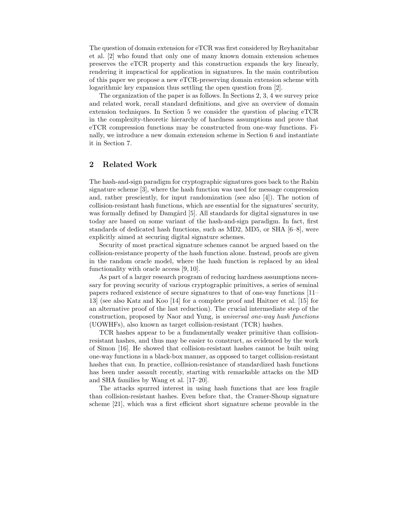The question of domain extension for eTCR was first considered by Reyhanitabar et al. [2] who found that only one of many known domain extension schemes preserves the eTCR property and this construction expands the key linearly, rendering it impractical for application in signatures. In the main contribution of this paper we propose a new eTCR-preserving domain extension scheme with logarithmic key expansion thus settling the open question from [2].

The organization of the paper is as follows. In Sections 2, 3, 4 we survey prior and related work, recall standard definitions, and give an overview of domain extension techniques. In Section 5 we consider the question of placing eTCR in the complexity-theoretic hierarchy of hardness assumptions and prove that eTCR compression functions may be constructed from one-way functions. Finally, we introduce a new domain extension scheme in Section 6 and instantiate it in Section 7.

# 2 Related Work

The hash-and-sign paradigm for cryptographic signatures goes back to the Rabin signature scheme [3], where the hash function was used for message compression and, rather presciently, for input randomization (see also  $[4]$ ). The notion of collision-resistant hash functions, which are essential for the signatures' security, was formally defined by Damgård [5]. All standards for digital signatures in use today are based on some variant of the hash-and-sign paradigm. In fact, first standards of dedicated hash functions, such as MD2, MD5, or SHA [6–8], were explicitly aimed at securing digital signature schemes.

Security of most practical signature schemes cannot be argued based on the collision-resistance property of the hash function alone. Instead, proofs are given in the random oracle model, where the hash function is replaced by an ideal functionality with oracle access [9, 10].

As part of a larger research program of reducing hardness assumptions necessary for proving security of various cryptographic primitives, a series of seminal papers reduced existence of secure signatures to that of one-way functions [11– 13] (see also Katz and Koo [14] for a complete proof and Haitner et al. [15] for an alternative proof of the last reduction). The crucial intermediate step of the construction, proposed by Naor and Yung, is *universal one-way hash functions* (UOWHFs), also known as target collision-resistant (TCR) hashes.

TCR hashes appear to be a fundamentally weaker primitive than collisionresistant hashes, and thus may be easier to construct, as evidenced by the work of Simon [16]. He showed that collision-resistant hashes cannot be built using one-way functions in a black-box manner, as opposed to target collision-resistant hashes that can. In practice, collision-resistance of standardized hash functions has been under assault recently, starting with remarkable attacks on the MD and SHA families by Wang et al. [17–20].

The attacks spurred interest in using hash functions that are less fragile than collision-resistant hashes. Even before that, the Cramer-Shoup signature scheme [21], which was a first efficient short signature scheme provable in the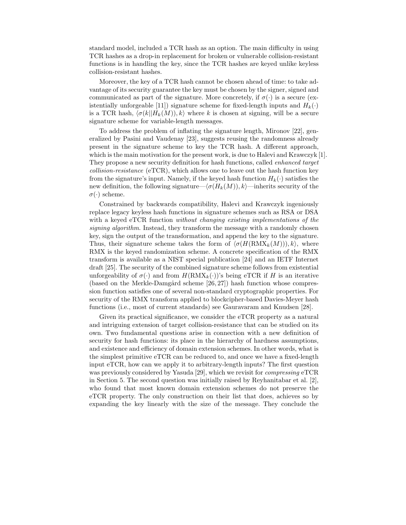standard model, included a TCR hash as an option. The main difficulty in using TCR hashes as a drop-in replacement for broken or vulnerable collision-resistant functions is in handling the key, since the TCR hashes are keyed unlike keyless collision-resistant hashes.

Moreover, the key of a TCR hash cannot be chosen ahead of time: to take advantage of its security guarantee the key must be chosen by the signer, signed and communicated as part of the signature. More concretely, if  $\sigma(\cdot)$  is a secure (existentially unforgeable [11]) signature scheme for fixed-length inputs and  $H_k(\cdot)$ is a TCR hash,  $\langle \sigma(k||H_k(M)), k \rangle$  where k is chosen at signing, will be a secure signature scheme for variable-length messages.

To address the problem of inflating the signature length, Mironov [22], generalized by Pasini and Vaudenay [23], suggests reusing the randomness already present in the signature scheme to key the TCR hash. A different approach, which is the main motivation for the present work, is due to Halevi and Krawczyk [1]. They propose a new security definition for hash functions, called *enhanced target collision-resistance* (eTCR), which allows one to leave out the hash function key from the signature's input. Namely, if the keyed hash function  $H_k(\cdot)$  satisfies the new definition, the following signature— $\langle \sigma(H_k(M)), k \rangle$ —inherits security of the  $\sigma(\cdot)$  scheme.

Constrained by backwards compatibility, Halevi and Krawczyk ingeniously replace legacy keyless hash functions in signature schemes such as RSA or DSA with a keyed eTCR function *without changing existing implementations of the signing algorithm*. Instead, they transform the message with a randomly chosen key, sign the output of the transformation, and append the key to the signature. Thus, their signature scheme takes the form of  $\langle \sigma(H(\text{RMX}_k(M))), k \rangle$ , where RMX is the keyed randomization scheme. A concrete specification of the RMX transform is available as a NIST special publication [24] and an IETF Internet draft [25]. The security of the combined signature scheme follows from existential unforgeability of  $\sigma(\cdot)$  and from  $H(\text{RMX}_k(\cdot))$ 's being eTCR if H is an iterative (based on the Merkle-Damgård scheme  $[26, 27]$ ) hash function whose compression function satisfies one of several non-standard cryptographic properties. For security of the RMX transform applied to blockcipher-based Davies-Meyer hash functions (i.e., most of current standards) see Gauravaram and Knudsen [28].

Given its practical significance, we consider the eTCR property as a natural and intriguing extension of target collision-resistance that can be studied on its own. Two fundamental questions arise in connection with a new definition of security for hash functions: its place in the hierarchy of hardness assumptions, and existence and efficiency of domain extension schemes. In other words, what is the simplest primitive eTCR can be reduced to, and once we have a fixed-length input eTCR, how can we apply it to arbitrary-length inputs? The first question was previously considered by Yasuda [29], which we revisit for *compressing* eTCR in Section 5. The second question was initially raised by Reyhanitabar et al. [2], who found that most known domain extension schemes do not preserve the eTCR property. The only construction on their list that does, achieves so by expanding the key linearly with the size of the message. They conclude the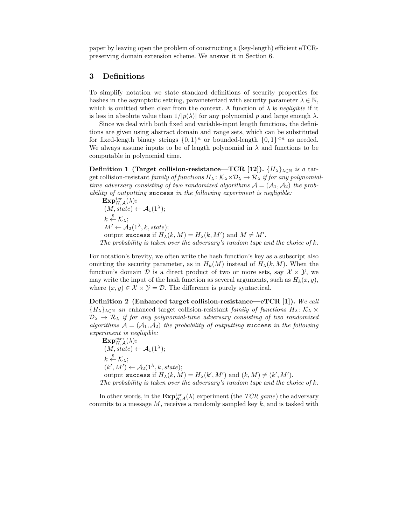paper by leaving open the problem of constructing a (key-length) efficient eTCRpreserving domain extension scheme. We answer it in Section 6.

#### 3 Definitions

To simplify notation we state standard definitions of security properties for hashes in the asymptotic setting, parameterized with security parameter  $\lambda \in \mathbb{N}$ , which is omitted when clear from the context. A function of  $\lambda$  is *negligible* if it is less in absolute value than  $1/|p(\lambda)|$  for any polynomial p and large enough  $\lambda$ .

Since we deal with both fixed and variable-input length functions, the definitions are given using abstract domain and range sets, which can be substituted for fixed-length binary strings  $\{0,1\}^n$  or bounded-length  $\{0,1\}^{< n}$  as needed. We always assume inputs to be of length polynomial in  $\lambda$  and functions to be computable in polynomial time.

Definition 1 (Target collision-resistance—TCR [12]).  $\{H_{\lambda}\}_{\lambda \in \mathbb{N}}$  *is a* target collision-resistant *family of functions*  $H_{\lambda}: \mathcal{K}_{\lambda} \times \mathcal{D}_{\lambda} \to \mathcal{R}_{\lambda}$  *if for any polynomialtime adversary consisting of two randomized algorithms*  $A = (A_1, A_2)$  *the probability of outputting* success *in the following experiment is negligible:*

 $\mathbf{Exp}_{H,\mathcal{A}}^{\text{ter}}(\lambda)$ :  $(M, state) \leftarrow \mathcal{A}_1(1^{\lambda});$  $k \overset{\$}{\leftarrow} \mathcal{K}_{\lambda};$  $M' \leftarrow \mathcal{A}_2(1^\lambda, k, state);$ output success if  $H_{\lambda}(k,M) = H_{\lambda}(k,M')$  and  $M \neq M'.$ *The probability is taken over the adversary's random tape and the choice of* k*.*

For notation's brevity, we often write the hash function's key as a subscript also omitting the security parameter, as in  $H_k(M)$  instead of  $H_\lambda(k,M)$ . When the function's domain D is a direct product of two or more sets, say  $\mathcal{X} \times \mathcal{Y}$ , we may write the input of the hash function as several arguments, such as  $H_k(x, y)$ , where  $(x, y) \in \mathcal{X} \times \mathcal{Y} = \mathcal{D}$ . The difference is purely syntactical.

Definition 2 (Enhanced target collision-resistance—eTCR [1]). *We call*  ${H_{\lambda}}_{\lambda\in\mathbb{N}}$  *an* enhanced target collision-resistant *family of functions*  $H_{\lambda}: \mathcal{K}_{\lambda} \times$  $\mathcal{D}_{\lambda} \to \mathcal{R}_{\lambda}$  *if for any polynomial-time adversary consisting of two randomized algorithms*  $A = (A_1, A_2)$  *the probability of outputting* success *in the following experiment is negligible:*

 $\mathbf{Exp}_{H,\mathcal{A}}^{\text{eter}}(\lambda)$ :  $(M, state) \leftarrow \mathcal{A}_1(1^{\lambda});$  $k \overset{\$}{\leftarrow} \mathcal{K}_{\lambda};$  $(k', M') \leftarrow \mathcal{A}_2(1^{\lambda}, k, state);$ output success if  $H_{\lambda}(k,M) = H_{\lambda}(k',M')$  and  $(k,M) \neq (k',M').$ *The probability is taken over the adversary's random tape and the choice of* k*.*

In other words, in the  $\text{Exp}_{H,\mathcal{A}}^{\text{ter}}(\lambda)$  experiment (the *TCR game*) the adversary commits to a message  $M$ , receives a randomly sampled key  $k$ , and is tasked with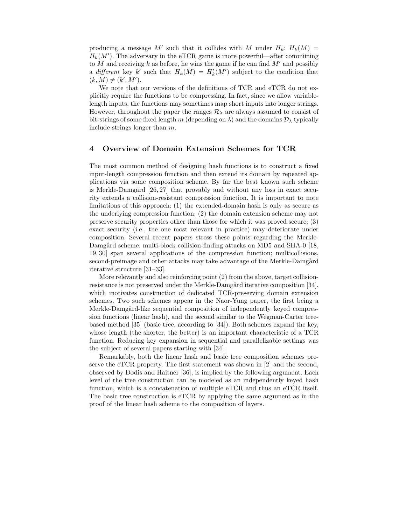producing a message M' such that it collides with M under  $H_k: H_k(M) =$  $H_k(M')$ . The adversary in the eTCR game is more powerful—after committing to M and receiving k as before, he wins the game if he can find  $M'$  and possibly a *different* key k' such that  $H_k(M) = H'_k(M')$  subject to the condition that  $(k, M) \neq (k', M').$ 

We note that our versions of the definitions of TCR and eTCR do not explicitly require the functions to be compressing. In fact, since we allow variablelength inputs, the functions may sometimes map short inputs into longer strings. However, throughout the paper the ranges  $\mathcal{R}_{\lambda}$  are always assumed to consist of bit-strings of some fixed length m (depending on  $\lambda$ ) and the domains  $\mathcal{D}_{\lambda}$  typically include strings longer than m.

# 4 Overview of Domain Extension Schemes for TCR

The most common method of designing hash functions is to construct a fixed input-length compression function and then extend its domain by repeated applications via some composition scheme. By far the best known such scheme is Merkle-Damgård  $[26, 27]$  that provably and without any loss in exact security extends a collision-resistant compression function. It is important to note limitations of this approach: (1) the extended-domain hash is only as secure as the underlying compression function; (2) the domain extension scheme may not preserve security properties other than those for which it was proved secure; (3) exact security (i.e., the one most relevant in practice) may deteriorate under composition. Several recent papers stress these points regarding the Merkle-Damgård scheme: multi-block collision-finding attacks on MD5 and SHA-0 [18, 19, 30] span several applications of the compression function; multicollisions, second-preimage and other attacks may take advantage of the Merkle-Damgård iterative structure [31–33].

More relevantly and also reinforcing point (2) from the above, target collisionresistance is not preserved under the Merkle-Damgård iterative composition [34], which motivates construction of dedicated TCR-preserving domain extension schemes. Two such schemes appear in the Naor-Yung paper, the first being a Merkle-Damgård-like sequential composition of independently keyed compression functions (linear hash), and the second similar to the Wegman-Carter treebased method [35] (basic tree, according to [34]). Both schemes expand the key, whose length (the shorter, the better) is an important characteristic of a TCR function. Reducing key expansion in sequential and parallelizable settings was the subject of several papers starting with [34].

Remarkably, both the linear hash and basic tree composition schemes preserve the eTCR property. The first statement was shown in [2] and the second, observed by Dodis and Haitner [36], is implied by the following argument. Each level of the tree construction can be modeled as an independently keyed hash function, which is a concatenation of multiple eTCR and thus an eTCR itself. The basic tree construction is eTCR by applying the same argument as in the proof of the linear hash scheme to the composition of layers.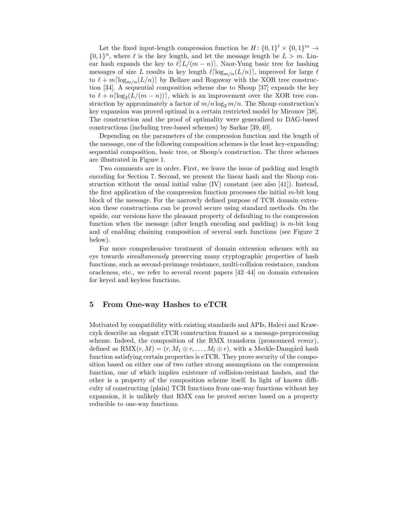Let the fixed input-length compression function be  $H: \{0,1\}^{\ell} \times \{0,1\}^m \rightarrow$  $\{0,1\}^n$ , where  $\ell$  is the key length, and let the message length be  $L > m$ . Linear hash expands the key to  $\ell[L/(m-n)]$ . Naor-Yung basic tree for hashing messages of size L results in key length  $\ell \lceil \log_{m/n}(L/n) \rceil$ , improved for large  $\ell$ to  $\ell + m \lceil \log_{m/n}(L/n) \rceil$  by Bellare and Rogaway with the XOR tree construction [34]. A sequential composition scheme due to Shoup [37] expands the key to  $\ell + n \lceil \log_2(L/(m - n)) \rceil$ , which is an improvement over the XOR tree construction by approximately a factor of  $m/n \log_2 m/n$ . The Shoup construction's key expansion was proved optimal in a certain restricted model by Mironov [38]. The construction and the proof of optimality were generalized to DAG-based constructions (including tree-based schemes) by Sarkar [39, 40].

Depending on the parameters of the compression function and the length of the message, one of the following composition schemes is the least key-expanding: sequential composition, basic tree, or Shoup's construction. The three schemes are illustrated in Figure 1.

Two comments are in order. First, we leave the issue of padding and length encoding for Section 7. Second, we present the linear hash and the Shoup construction without the usual initial value (IV) constant (see also [41]). Instead, the first application of the compression function processes the initial  $m$ -bit long block of the message. For the narrowly defined purpose of TCR domain extension these constructions can be proved secure using standard methods. On the upside, our versions have the pleasant property of defaulting to the compression function when the message (after length encoding and padding) is  $m$ -bit long and of enabling chaining composition of several such functions (see Figure 2 below).

For more comprehensive treatment of domain extension schemes with an eye towards *simultaneously* preserving many cryptographic properties of hash functions, such as second-preimage resistance, multi-collision resistance, random oracleness, etc., we refer to several recent papers [42–44] on domain extension for keyed and keyless functions.

# 5 From One-way Hashes to eTCR

Motivated by compatibility with existing standards and APIs, Halevi and Krawczyk describe an elegant eTCR construction framed as a message-preprocessing scheme. Indeed, the composition of the RMX transform (pronounced *remix* ), defined as  $\text{RMX}(r, M) = (r, M_1 \oplus r, \ldots, M_l \oplus r)$ , with a Merkle-Damgård hash function satisfying certain properties is eTCR. They prove security of the composition based on either one of two rather strong assumptions on the compression function, one of which implies existence of collision-resistant hashes, and the other is a property of the composition scheme itself. In light of known difficulty of constructing (plain) TCR functions from one-way functions without key expansion, it is unlikely that RMX can be proved secure based on a property reducible to one-way functions.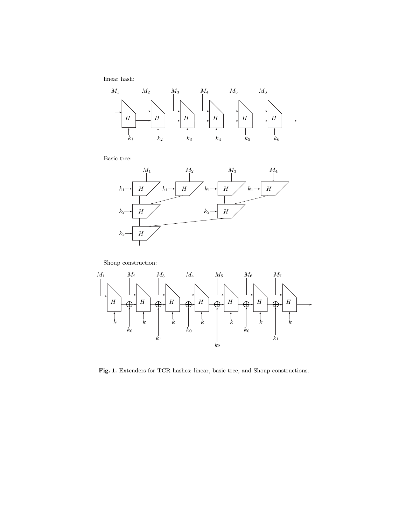linear hash:



Basic tree:



Shoup construction:



Fig. 1. Extenders for TCR hashes: linear, basic tree, and Shoup constructions.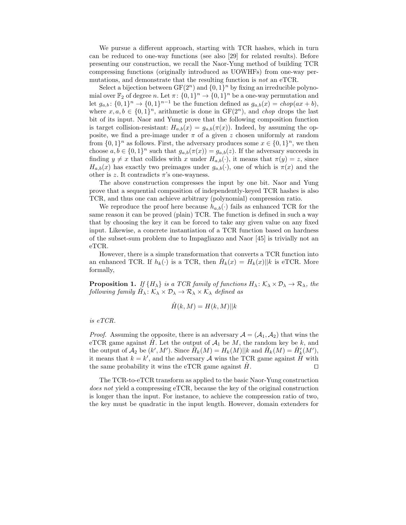We pursue a different approach, starting with TCR hashes, which in turn can be reduced to one-way functions (see also [29] for related results). Before presenting our construction, we recall the Naor-Yung method of building TCR compressing functions (originally introduced as UOWHFs) from one-way permutations, and demonstrate that the resulting function is *not* an eTCR.

Select a bijection between  $GF(2^n)$  and  $\{0, 1\}^n$  by fixing an irreducible polynomial over  $\mathbb{F}_2$  of degree n. Let  $\pi: \{0,1\}^n \to \{0,1\}^n$  be a one-way permutation and let  $g_{a,b}$ :  $\{0,1\}^n \to \{0,1\}^{n-1}$  be the function defined as  $g_{a,b}(x) = \text{ch}o p(ax + b)$ , where  $x, a, b \in \{0, 1\}^n$ , arithmetic is done in  $GF(2^n)$ , and *chop* drops the last bit of its input. Naor and Yung prove that the following composition function is target collision-resistant:  $H_{a,b}(x) = g_{a,b}(\pi(x))$ . Indeed, by assuming the opposite, we find a pre-image under  $\pi$  of a given z chosen uniformly at random from  $\{0,1\}^n$  as follows. First, the adversary produces some  $x \in \{0,1\}^n$ , we then choose  $a, b \in \{0,1\}^n$  such that  $g_{a,b}(\pi(x)) = g_{a,b}(z)$ . If the adversary succeeds in finding  $y \neq x$  that collides with x under  $H_{a,b}(\cdot)$ , it means that  $\pi(y) = z$ , since  $H_{a,b}(x)$  has exactly two preimages under  $g_{a,b}(\cdot)$ , one of which is  $\pi(x)$  and the other is z. It contradicts  $\pi$ 's one-wayness.

The above construction compresses the input by one bit. Naor and Yung prove that a sequential composition of independently-keyed TCR hashes is also TCR, and thus one can achieve arbitrary (polynomial) compression ratio.

We reproduce the proof here because  $h_{a,b}(\cdot)$  fails as enhanced TCR for the same reason it can be proved (plain) TCR. The function is defined in such a way that by choosing the key it can be forced to take any given value on any fixed input. Likewise, a concrete instantiation of a TCR function based on hardness of the subset-sum problem due to Impagliazzo and Naor [45] is trivially not an eTCR.

However, there is a simple transformation that converts a TCR function into an enhanced TCR. If  $h_k(\cdot)$  is a TCR, then  $\hat{H}_k(x) = H_k(x) ||k$  is eTCR. More formally,

**Proposition 1.** *If*  $\{H_{\lambda}\}\$ is a TCR family of functions  $H_{\lambda} : \mathcal{K}_{\lambda} \times \mathcal{D}_{\lambda} \to \mathcal{R}_{\lambda}$ , the  $\emph{following family} \hat{H_{\lambda}} : \overline{\mathcal{K}_{\lambda}} \times \mathcal{D}_{\lambda} \rightarrow \overline{\mathcal{R}_{\lambda}} \times \overline{\mathcal{K}_{\lambda}} \text{ defined as}$ 

$$
\hat{H}(k,M) = H(k,M)||k
$$

*is eTCR.*

*Proof.* Assuming the opposite, there is an adversary  $A = (A_1, A_2)$  that wins the eTCR game against H. Let the output of  $A_1$  be M, the random key be k, and the output of  $\mathcal{A}_2$  be  $(k', M')$ . Since  $\hat{H}_k(M) = H_k(M) || k$  and  $\hat{H}_k(M) = \hat{H}'_k(M')$ , it means that  $k = k'$ , and the adversary  $\mathcal A$  wins the TCR game against  $\hat H$  with the same probability it wins the eTCR game against  $\hat{H}$ .  $\Box$ 

The TCR-to-eTCR transform as applied to the basic Naor-Yung construction *does not* yield a compressing eTCR, because the key of the original construction is longer than the input. For instance, to achieve the compression ratio of two, the key must be quadratic in the input length. However, domain extenders for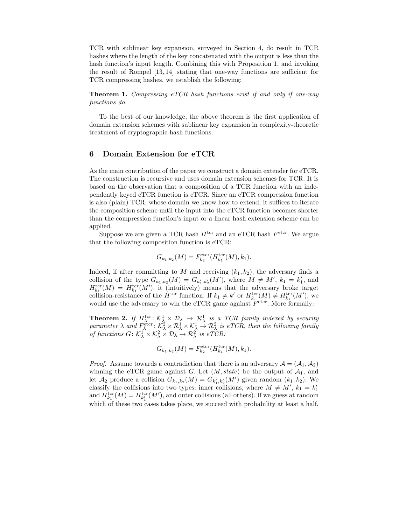TCR with sublinear key expansion, surveyed in Section 4, do result in TCR hashes where the length of the key concatenated with the output is less than the hash function's input length. Combining this with Proposition 1, and invoking the result of Rompel [13, 14] stating that one-way functions are sufficient for TCR compressing hashes, we establish the following:

Theorem 1. *Compressing eTCR hash functions exist if and only if one-way functions do.*

To the best of our knowledge, the above theorem is the first application of domain extension schemes with sublinear key expansion in complexity-theoretic treatment of cryptographic hash functions.

#### 6 Domain Extension for eTCR

As the main contribution of the paper we construct a domain extender for eTCR. The construction is recursive and uses domain extension schemes for TCR. It is based on the observation that a composition of a TCR function with an independently keyed eTCR function is eTCR. Since an eTCR compression function is also (plain) TCR, whose domain we know how to extend, it suffices to iterate the composition scheme until the input into the eTCR function becomes shorter than the compression function's input or a linear hash extension scheme can be applied.

Suppose we are given a TCR hash  $H<sup>ter</sup>$  and an eTCR hash  $F<sup>eter</sup>$ . We argue that the following composition function is eTCR:

$$
G_{k_1,k_2}(M) = F_{k_2}^{\text{eter}}(H_{k_1}^{\text{ter}}(M), k_1).
$$

Indeed, if after committing to M and receiving  $(k_1, k_2)$ , the adversary finds a collision of the type  $G_{k_1,k_2}(M) = G_{k'_1,k'_2}(M')$ , where  $M \neq M'$ ,  $k_1 = k'_1$ , and  $H_{k_1}^{\text{ter}}(M) = H_{k_1}^{\text{ter}}(M')$ , it (intuitively) means that the adversary broke target collision-resistance of the  $H^{\text{ter}}$  function. If  $k_1 \neq k'$  or  $H_{k_1}^{\text{ter}}(M) \neq H_{k_1}^{\text{ter}}(M')$ , we would use the adversary to win the eTCR game against  $\overline{F}^{\text{eter}}$ . More formally:

**Theorem 2.** If  $H_{\lambda}^{\text{ter}}$ :  $\mathcal{K}_{\lambda}^1 \times \mathcal{D}_{\lambda} \rightarrow \mathcal{R}_{\lambda}^1$  is a TCR family indexed by security  $\emph{parameter $\lambda$ and $F_\lambda^{\text{etc}}$: $\mathcal{K}_\lambda^2 \times \mathcal{R}_\lambda^1 \times \mathcal{K}_\lambda^1 \to \mathcal{R}_\lambda^2$ is eTCR, then the following family $F_\lambda^{\text{etc}}$ is the following inequality of the following inequality.}$ *of functions*  $G: \mathcal{K}_{\lambda}^1 \times \mathcal{K}_{\lambda}^2 \times \mathcal{D}_{\lambda} \to \mathcal{R}_{\lambda}^2$  is  $e \overset{\sim}{TCR}$ .

$$
G_{k_1,k_2}(M) = F_{k_2}^{\text{eter}}(H_{k_1}^{\text{ter}}(M), k_1).
$$

*Proof.* Assume towards a contradiction that there is an adversary  $A = (A_1, A_2)$ winning the eTCR game against G. Let  $(M, state)$  be the output of  $A_1$ , and let  $\mathcal{A}_2$  produce a collision  $G_{k_1,k_2}(M) = G_{k'_1,k'_2}(M')$  given random  $(k_1, k_2)$ . We classify the collisions into two types: inner collisions, where  $M \neq M'$ ,  $k_1 = k_1'$ and  $H_{k_1}^{\text{ter}}(M) = H_{k_1'}^{\text{ter}}(M')$ , and outer collisions (all others). If we guess at random which of these two cases takes place, we succeed with probability at least a half.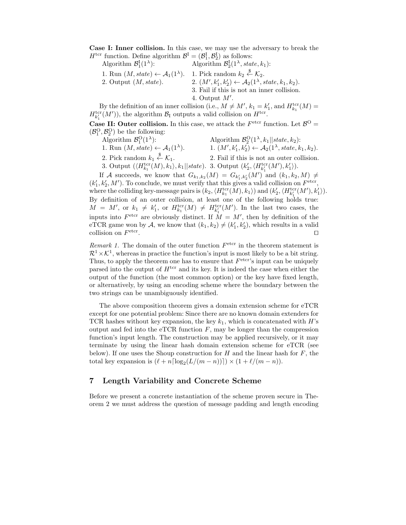Case I: Inner collision. In this case, we may use the adversary to break the  $H^{\text{ter}}$  function. Define algorithm  $\mathcal{B}^{\text{I}} = (\mathcal{B}^{\text{I}}_1, \mathcal{B}^{\text{I}}_2)$  as follows:

Algorithm  $\mathcal{B}_1^{\mathrm{I}}(1^{\lambda})$ ): Algorithm  $\mathcal{B}_2^I(1^{\lambda}, state, k_1)$ : 1. Run  $(M, state) \leftarrow \mathcal{A}_1(1^{\lambda})$ . 1. Pick random  $k_2 \stackrel{\$}{\leftarrow} \mathcal{K}_2$ . 2. Output  $(M, state)$ .  $, k'_1, k'_2 \rangle \leftarrow \mathcal{A}_2(1^{\lambda}, state, k_1, k_2).$ 3. Fail if this is not an inner collision. 4. Output  $M'$ .

By the definition of an inner collision (i.e.,  $M \neq M'$ ,  $k_1 = k'_1$ , and  $H_{k_1}^{tor}(M) =$  $H_{k'_1}(M')$ , the algorithm  $\mathcal{B}_I$  outputs a valid collision on  $H^{\text{ter}}$ .

**Case II: Outer collision.** In this case, we attack the  $F^{\text{eter}}$  function. Let  $\mathcal{B}^{\text{O}} =$  $(\mathcal{B}_1^O, \mathcal{B}_2^O)$  be the following:

- Algorithm  $\mathcal{B}_1^O(1)$ 
	- 1. Run  $(M, state) \leftarrow A_1(1^{\lambda})$ .

): Algorithm  $\mathcal{B}_2^{\text{O}}(1^{\lambda}, k_1 || state, k_2)$ : ). 1.  $(M', k'_1, k'_2) \leftarrow A_2(1^{\lambda}, state, k_1, k_2).$ 2. Fail if this is not an outer collision.

2. Pick random  $k_1 \overset{\$}{\leftarrow} \mathcal{K}_1$ . 3. Output  $(\langle H_{k_1}^{\text{ter}}(M), k_1 \rangle, k_1 || state)$ . 3. Output  $(k'_2, \langle H_{k'_1}^{\text{ter}}(M'), k'_1 \rangle)$ .

If A succeeds, we know that  $G_{k_1,k_2}(M) = G_{k'_1,k'_2}(M')$  and  $(k_1,k_2,M) \neq$  $(k'_1, k'_2, M')$ . To conclude, we must verify that this gives a valid collision on  $F^{\text{eter}}$ , where the colliding key-message pairs is  $(k_2, \langle H_{k_1}^{\text{ter}}(M), k_1 \rangle)$  and  $(k'_2, \langle H_{k'_1}^{\text{ter}}(M'), k'_1 \rangle)$ . By definition of an outer collision, at least one of the following holds true:  $M = M'$ , or  $k_1 \neq k'_1$ , or  $H_{k_1}^{tor}(M) \neq H_{k'_1}^{tor}(M')$ . In the last two cases, the inputs into  $F^{\text{eter}}$  are obviously distinct. If  $\dot{M} = M'$ , then by definition of the eTCR game won by A, we know that  $(k_1, k_2) \neq (k'_1, k'_2)$ , which results in a valid collision on  $F<sup>eter</sup>$ . ⊓⊔

*Remark 1.* The domain of the outer function  $F<sup>eter</sup>$  in the theorem statement is  $\mathcal{R}^1 \times \mathcal{K}^1$ , whereas in practice the function's input is most likely to be a bit string. Thus, to apply the theorem one has to ensure that  $F<sup>eter</sup>$ 's input can be uniquely parsed into the output of  $H<sup>ter</sup>$  and its key. It is indeed the case when either the output of the function (the most common option) or the key have fixed length, or alternatively, by using an encoding scheme where the boundary between the two strings can be unambiguously identified.

The above composition theorem gives a domain extension scheme for eTCR except for one potential problem: Since there are no known domain extenders for TCR hashes without key expansion, the key  $k_1$ , which is concatenated with H's output and fed into the eTCR function  $F$ , may be longer than the compression function's input length. The construction may be applied recursively, or it may terminate by using the linear hash domain extension scheme for eTCR (see below). If one uses the Shoup construction for  $H$  and the linear hash for  $F$ , the total key expansion is  $(\ell + n \lceil \log_2(L/(m - n)) \rceil) \times (1 + \ell/(m - n)).$ 

### 7 Length Variability and Concrete Scheme

Before we present a concrete instantiation of the scheme proven secure in Theorem 2 we must address the question of message padding and length encoding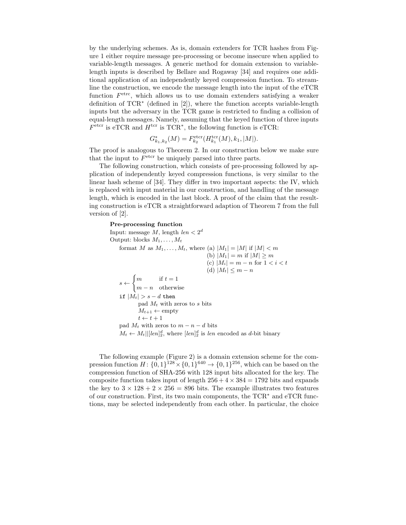by the underlying schemes. As is, domain extenders for TCR hashes from Figure 1 either require message pre-processing or become insecure when applied to variable-length messages. A generic method for domain extension to variablelength inputs is described by Bellare and Rogaway [34] and requires one additional application of an independently keyed compression function. To streamline the construction, we encode the message length into the input of the eTCR function  $F<sup>etrc</sup>$ , which allows us to use domain extenders satisfying a weaker definition of TCR<sup>∗</sup> (defined in [2]), where the function accepts variable-length inputs but the adversary in the TCR game is restricted to finding a collision of equal-length messages. Namely, assuming that the keyed function of three inputs  $F<sup>eter</sup>$  is eTCR and  $H<sup>ter</sup>$  is TCR<sup>\*</sup>, the following function is eTCR:

$$
G_{k_1,k_2}^*(M) = F_{k_2}^{\text{eter}}(H_{k_1}^{\text{ter}}(M), k_1, |M|).
$$

The proof is analogous to Theorem 2. In our construction below we make sure that the input to  $F<sup>eter</sup>$  be uniquely parsed into three parts.

The following construction, which consists of pre-processing followed by application of independently keyed compression functions, is very similar to the linear hash scheme of [34]. They differ in two important aspects: the IV, which is replaced with input material in our construction, and handling of the message length, which is encoded in the last block. A proof of the claim that the resulting construction is eTCR a straightforward adaption of Theorem 7 from the full version of [2].

#### Pre-processing function

```
Input: message M, length len < 2^dOutput: blocks M_1, \ldots, M_tformat M as M_1, \ldots, M_t, where (a) |M_1| = |M| if |M| < m(b) |M_1| = m if |M| \ge m(c) |M_i| = m - n for 1 < i < t(d) |M_t| \leq m - ns \leftarrow\int m if t = 1m - n otherwise
if |M_t| > s - d then
        pad M_t with zeros to s bits
        M_{t+1} \leftarrow \text{empty}t \leftarrow t + 1pad M_t with zeros to m - n - d bits
M_t \leftarrow M_t ||[[\text{len}]_2^d], where [\text{len}]_2^d is len encoded as d-bit binary
```
The following example (Figure 2) is a domain extension scheme for the compression function  $H: \{0,1\}^{128} \times \{0,1\}^{640} \to \{0,1\}^{256}$ , which can be based on the compression function of SHA-256 with 128 input bits allocated for the key. The composite function takes input of length  $256 + 4 \times 384 = 1792$  bits and expands the key to  $3 \times 128 + 2 \times 256 = 896$  bits. The example illustrates two features of our construction. First, its two main components, the TCR<sup>∗</sup> and eTCR functions, may be selected independently from each other. In particular, the choice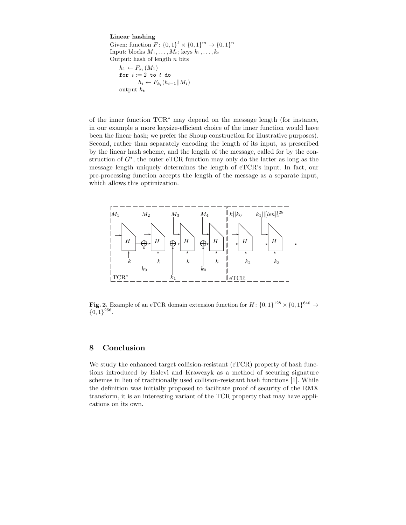#### Linear hashing

Given: function  $F: \{0,1\}^{\ell} \times \{0,1\}^m \to \{0,1\}^n$ Input: blocks  $M_1, \ldots, M_t$ ; keys  $k_1, \ldots, k_t$ Output: hash of length  $n$  bits  $h_1 \leftarrow F_{k_1}(M_1)$ for  $i := 2$  to  $t$  do  $h_i \leftarrow F_{k_i}(h_{i-1}||M_i)$ output  $h_t$ 

of the inner function TCR<sup>∗</sup> may depend on the message length (for instance, in our example a more keysize-efficient choice of the inner function would have been the linear hash; we prefer the Shoup construction for illustrative purposes). Second, rather than separately encoding the length of its input, as prescribed by the linear hash scheme, and the length of the message, called for by the construction of  $G^*$ , the outer eTCR function may only do the latter as long as the message length uniquely determines the length of eTCR's input. In fact, our pre-processing function accepts the length of the message as a separate input, which allows this optimization.

![](_page_11_Figure_3.jpeg)

**Fig. 2.** Example of an eTCR domain extension function for  $H: \{0,1\}^{128} \times \{0,1\}^{640} \rightarrow$  ${0,1}^{256}.$ 

# 8 Conclusion

We study the enhanced target collision-resistant (eTCR) property of hash functions introduced by Halevi and Krawczyk as a method of securing signature schemes in lieu of traditionally used collision-resistant hash functions [1]. While the definition was initially proposed to facilitate proof of security of the RMX transform, it is an interesting variant of the TCR property that may have applications on its own.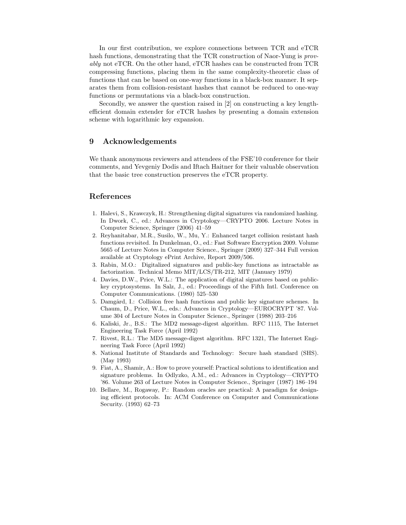In our first contribution, we explore connections between TCR and eTCR hash functions, demonstrating that the TCR construction of Naor-Yung is *provably* not eTCR. On the other hand, eTCR hashes can be constructed from TCR compressing functions, placing them in the same complexity-theoretic class of functions that can be based on one-way functions in a black-box manner. It separates them from collision-resistant hashes that cannot be reduced to one-way functions or permutations via a black-box construction.

Secondly, we answer the question raised in [2] on constructing a key lengthefficient domain extender for eTCR hashes by presenting a domain extension scheme with logarithmic key expansion.

### 9 Acknowledgements

We thank anonymous reviewers and attendees of the FSE'10 conference for their comments, and Yevgeniy Dodis and Iftach Haitner for their valuable observation that the basic tree construction preserves the eTCR property.

### References

- 1. Halevi, S., Krawczyk, H.: Strengthening digital signatures via randomized hashing. In Dwork, C., ed.: Advances in Cryptology—CRYPTO 2006. Lecture Notes in Computer Science, Springer (2006) 41–59
- 2. Reyhanitabar, M.R., Susilo, W., Mu, Y.: Enhanced target collision resistant hash functions revisited. In Dunkelman, O., ed.: Fast Software Encryption 2009. Volume 5665 of Lecture Notes in Computer Science., Springer (2009) 327–344 Full version available at Cryptology ePrint Archive, Report 2009/506.
- 3. Rabin, M.O.: Digitalized signatures and public-key functions as intractable as factorization. Technical Memo MIT/LCS/TR-212, MIT (January 1979)
- 4. Davies, D.W., Price, W.L.: The application of digital signatures based on publickey cryptosystems. In Salz, J., ed.: Proceedings of the Fifth Intl. Conference on Computer Communications. (1980) 525–530
- 5. Damgård, I.: Collision free hash functions and public key signature schemes. In Chaum, D., Price, W.L., eds.: Advances in Cryptology—EUROCRYPT '87. Volume 304 of Lecture Notes in Computer Science., Springer (1988) 203–216
- 6. Kaliski, Jr., B.S.: The MD2 message-digest algorithm. RFC 1115, The Internet Engineering Task Force (April 1992)
- 7. Rivest, R.L.: The MD5 message-digest algorithm. RFC 1321, The Internet Engineering Task Force (April 1992)
- 8. National Institute of Standards and Technology: Secure hash standard (SHS). (May 1993)
- 9. Fiat, A., Shamir, A.: How to prove yourself: Practical solutions to identification and signature problems. In Odlyzko, A.M., ed.: Advances in Cryptology—CRYPTO '86. Volume 263 of Lecture Notes in Computer Science., Springer (1987) 186–194
- 10. Bellare, M., Rogaway, P.: Random oracles are practical: A paradigm for designing efficient protocols. In: ACM Conference on Computer and Communications Security. (1993) 62–73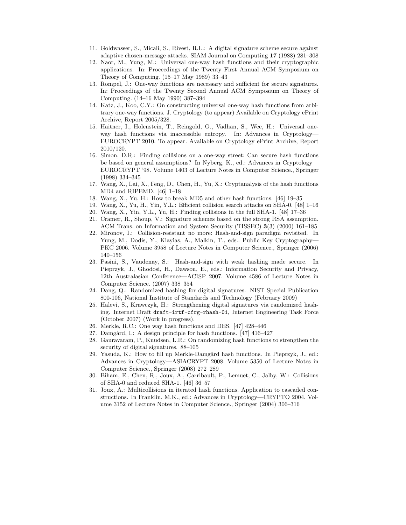- 11. Goldwasser, S., Micali, S., Rivest, R.L.: A digital signature scheme secure against adaptive chosen-message attacks. SIAM Journal on Computing 17 (1988) 281–308
- 12. Naor, M., Yung, M.: Universal one-way hash functions and their cryptographic applications. In: Proceedings of the Twenty First Annual ACM Symposium on Theory of Computing. (15–17 May 1989) 33–43
- 13. Rompel, J.: One-way functions are necessary and sufficient for secure signatures. In: Proceedings of the Twenty Second Annual ACM Symposium on Theory of Computing. (14–16 May 1990) 387–394
- 14. Katz, J., Koo, C.Y.: On constructing universal one-way hash functions from arbitrary one-way functions. J. Cryptology (to appear) Available on Cryptology ePrint Archive, Report 2005/328.
- 15. Haitner, I., Holenstein, T., Reingold, O., Vadhan, S., Wee, H.: Universal oneway hash functions via inaccessible entropy. In: Advances in Cryptology— EUROCRYPT 2010. To appear. Available on Cryptology ePrint Archive, Report 2010/120.
- 16. Simon, D.R.: Finding collisions on a one-way street: Can secure hash functions be based on general assumptions? In Nyberg, K., ed.: Advances in Cryptology— EUROCRYPT '98. Volume 1403 of Lecture Notes in Computer Science., Springer (1998) 334–345
- 17. Wang, X., Lai, X., Feng, D., Chen, H., Yu, X.: Cryptanalysis of the hash functions MD4 and RIPEMD. [46] 1–18
- 18. Wang, X., Yu, H.: How to break MD5 and other hash functions. [46] 19–35
- 19. Wang, X., Yu, H., Yin, Y.L.: Efficient collision search attacks on SHA-0. [48] 1–16
- 20. Wang, X., Yin, Y.L., Yu, H.: Finding collisions in the full SHA-1. [48] 17–36
- 21. Cramer, R., Shoup, V.: Signature schemes based on the strong RSA assumption. ACM Trans. on Information and System Security (TISSEC) 3(3) (2000) 161–185
- 22. Mironov, I.: Collision-resistant no more: Hash-and-sign paradigm revisited. In Yung, M., Dodis, Y., Kiayias, A., Malkin, T., eds.: Public Key Cryptography— PKC 2006. Volume 3958 of Lecture Notes in Computer Science., Springer (2006) 140–156
- 23. Pasini, S., Vaudenay, S.: Hash-and-sign with weak hashing made secure. In Pieprzyk, J., Ghodosi, H., Dawson, E., eds.: Information Security and Privacy, 12th Australasian Conference—ACISP 2007. Volume 4586 of Lecture Notes in Computer Science. (2007) 338–354
- 24. Dang, Q.: Randomized hashing for digital signatures. NIST Special Publication 800-106, National Institute of Standards and Technology (February 2009)
- 25. Halevi, S., Krawczyk, H.: Strengthening digital signatures via randomized hashing. Internet Draft draft-irtf-cfrg-rhash-01, Internet Engineering Task Force (October 2007) (Work in progress).
- 26. Merkle, R.C.: One way hash functions and DES. [47] 428–446
- 27. Damgård, I.: A design principle for hash functions. [47] 416-427
- 28. Gauravaram, P., Knudsen, L.R.: On randomizing hash functions to strengthen the security of digital signatures. 88–105
- 29. Yasuda, K.: How to fill up Merkle-Damgård hash functions. In Pieprzyk, J., ed.: Advances in Cryptology—ASIACRYPT 2008. Volume 5350 of Lecture Notes in Computer Science., Springer (2008) 272–289
- 30. Biham, E., Chen, R., Joux, A., Carribault, P., Lemuet, C., Jalby, W.: Collisions of SHA-0 and reduced SHA-1. [46] 36–57
- 31. Joux, A.: Multicollisions in iterated hash functions. Application to cascaded constructions. In Franklin, M.K., ed.: Advances in Cryptology—CRYPTO 2004. Volume 3152 of Lecture Notes in Computer Science., Springer (2004) 306–316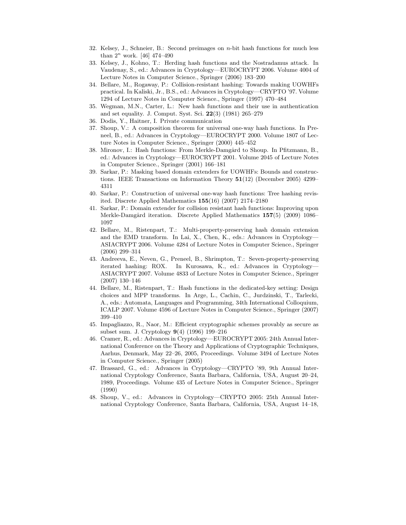- 32. Kelsey, J., Schneier, B.: Second preimages on n-bit hash functions for much less than  $2^n$  work. [46] 474-490
- 33. Kelsey, J., Kohno, T.: Herding hash functions and the Nostradamus attack. In Vaudenay, S., ed.: Advances in Cryptology—EUROCRYPT 2006. Volume 4004 of Lecture Notes in Computer Science., Springer (2006) 183–200
- 34. Bellare, M., Rogaway, P.: Collision-resistant hashing: Towards making UOWHFs practical. In Kaliski, Jr., B.S., ed.: Advances in Cryptology—CRYPTO '97. Volume 1294 of Lecture Notes in Computer Science., Springer (1997) 470–484
- 35. Wegman, M.N., Carter, L.: New hash functions and their use in authentication and set equality. J. Comput. Syst. Sci. 22(3) (1981) 265–279
- 36. Dodis, Y., Haitner, I. Private communication
- 37. Shoup, V.: A composition theorem for universal one-way hash functions. In Preneel, B., ed.: Advances in Cryptology—EUROCRYPT 2000. Volume 1807 of Lecture Notes in Computer Science., Springer (2000) 445–452
- 38. Mironov, I.: Hash functions: From Merkle-Damgård to Shoup. In Pfitzmann, B., ed.: Advances in Cryptology—EUROCRYPT 2001. Volume 2045 of Lecture Notes in Computer Science., Springer (2001) 166–181
- 39. Sarkar, P.: Masking based domain extenders for UOWHFs: Bounds and constructions. IEEE Transactions on Information Theory 51(12) (December 2005) 4299– 4311
- 40. Sarkar, P.: Construction of universal one-way hash functions: Tree hashing revisited. Discrete Applied Mathematics 155(16) (2007) 2174–2180
- 41. Sarkar, P.: Domain extender for collision resistant hash functions: Improving upon Merkle-Damgård iteration. Discrete Applied Mathematics 157(5) (2009) 1086– 1097
- 42. Bellare, M., Ristenpart, T.: Multi-property-preserving hash domain extension and the EMD transform. In Lai, X., Chen, K., eds.: Advances in Cryptology— ASIACRYPT 2006. Volume 4284 of Lecture Notes in Computer Science., Springer (2006) 299–314
- 43. Andreeva, E., Neven, G., Preneel, B., Shrimpton, T.: Seven-property-preserving iterated hashing: ROX. In Kurosawa, K., ed.: Advances in Cryptology— ASIACRYPT 2007. Volume 4833 of Lecture Notes in Computer Science., Springer (2007) 130–146
- 44. Bellare, M., Ristenpart, T.: Hash functions in the dedicated-key setting: Design choices and MPP transforms. In Arge, L., Cachin, C., Jurdzinski, T., Tarlecki, A., eds.: Automata, Languages and Programming, 34th International Colloquium, ICALP 2007. Volume 4596 of Lecture Notes in Computer Science., Springer (2007) 399–410
- 45. Impagliazzo, R., Naor, M.: Efficient cryptographic schemes provably as secure as subset sum. J. Cryptology 9(4) (1996) 199–216
- 46. Cramer, R., ed.: Advances in Cryptology—EUROCRYPT 2005: 24th Annual International Conference on the Theory and Applications of Cryptographic Techniques, Aarhus, Denmark, May 22–26, 2005, Proceedings. Volume 3494 of Lecture Notes in Computer Science., Springer (2005)
- 47. Brassard, G., ed.: Advances in Cryptology—CRYPTO '89, 9th Annual International Cryptology Conference, Santa Barbara, California, USA, August 20–24, 1989, Proceedings. Volume 435 of Lecture Notes in Computer Science., Springer (1990)
- 48. Shoup, V., ed.: Advances in Cryptology—CRYPTO 2005: 25th Annual International Cryptology Conference, Santa Barbara, California, USA, August 14–18,